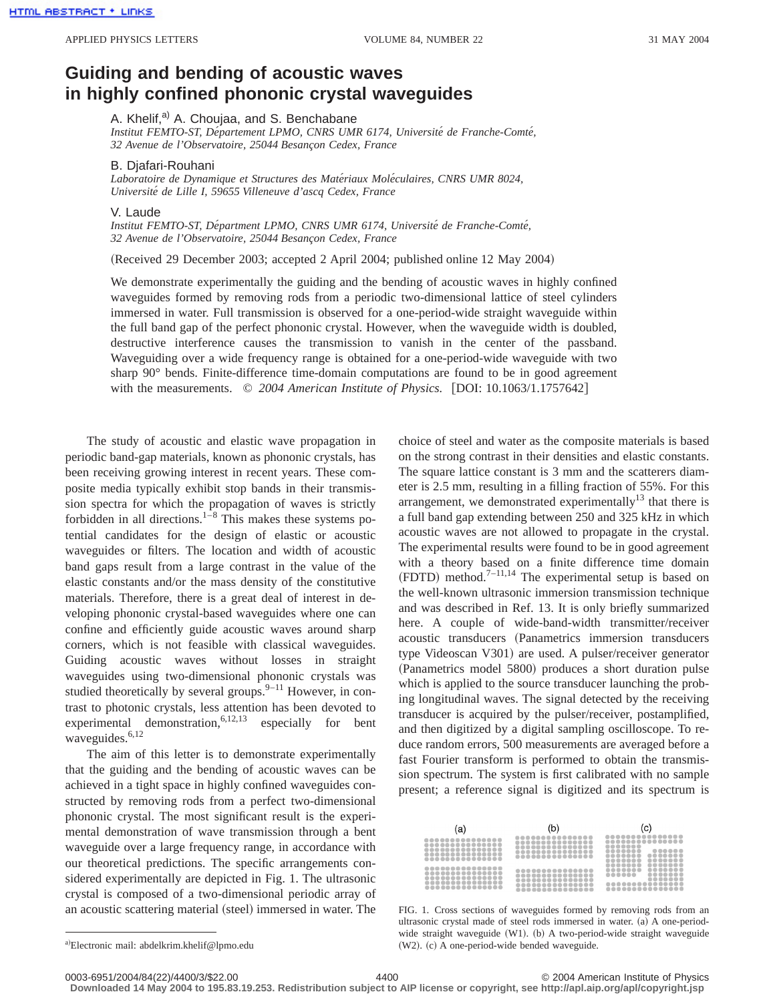## **Guiding and bending of acoustic waves in highly confined phononic crystal waveguides**

A. Khelif,<sup>a)</sup> A. Choujaa, and S. Benchabane

*Institut FEMTO-ST, De´partement LPMO, CNRS UMR 6174, Universite´ de Franche-Comte´, 32 Avenue de l'Observatoire, 25044 Besanc¸on Cedex, France*

## B. Djafari-Rouhani

Laboratoire de Dynamique et Structures des Matériaux Moléculaires, CNRS UMR 8024, *Universite´ de Lille I, 59655 Villeneuve d'ascq Cedex, France*

## V. Laude

*Institut FEMTO-ST, De´partment LPMO, CNRS UMR 6174, Universite´ de Franche-Comte´, 32 Avenue de l'Observatoire, 25044 Besanc¸on Cedex, France*

(Received 29 December 2003; accepted 2 April 2004; published online 12 May 2004)

We demonstrate experimentally the guiding and the bending of acoustic waves in highly confined waveguides formed by removing rods from a periodic two-dimensional lattice of steel cylinders immersed in water. Full transmission is observed for a one-period-wide straight waveguide within the full band gap of the perfect phononic crystal. However, when the waveguide width is doubled, destructive interference causes the transmission to vanish in the center of the passband. Waveguiding over a wide frequency range is obtained for a one-period-wide waveguide with two sharp 90° bends. Finite-difference time-domain computations are found to be in good agreement with the measurements.  $\degree$  2004 American Institute of Physics. [DOI: 10.1063/1.1757642]

The study of acoustic and elastic wave propagation in periodic band-gap materials, known as phononic crystals, has been receiving growing interest in recent years. These composite media typically exhibit stop bands in their transmission spectra for which the propagation of waves is strictly forbidden in all directions. $1^{-8}$  This makes these systems potential candidates for the design of elastic or acoustic waveguides or filters. The location and width of acoustic band gaps result from a large contrast in the value of the elastic constants and/or the mass density of the constitutive materials. Therefore, there is a great deal of interest in developing phononic crystal-based waveguides where one can confine and efficiently guide acoustic waves around sharp corners, which is not feasible with classical waveguides. Guiding acoustic waves without losses in straight waveguides using two-dimensional phononic crystals was studied theoretically by several groups. $9-11$  However, in contrast to photonic crystals, less attention has been devoted to experimental demonstration,  $6,12,13$  especially for bent waveguides.<sup>6,12</sup>

The aim of this letter is to demonstrate experimentally that the guiding and the bending of acoustic waves can be achieved in a tight space in highly confined waveguides constructed by removing rods from a perfect two-dimensional phononic crystal. The most significant result is the experimental demonstration of wave transmission through a bent waveguide over a large frequency range, in accordance with our theoretical predictions. The specific arrangements considered experimentally are depicted in Fig. 1. The ultrasonic crystal is composed of a two-dimensional periodic array of an acoustic scattering material (steel) immersed in water. The choice of steel and water as the composite materials is based on the strong contrast in their densities and elastic constants. The square lattice constant is 3 mm and the scatterers diameter is 2.5 mm, resulting in a filling fraction of 55%. For this arrangement, we demonstrated experimentally<sup>13</sup> that there is a full band gap extending between 250 and 325 kHz in which acoustic waves are not allowed to propagate in the crystal. The experimental results were found to be in good agreement with a theory based on a finite difference time domain  $(FDTD)$  method.<sup>7–11,14</sup> The experimental setup is based on the well-known ultrasonic immersion transmission technique and was described in Ref. 13. It is only briefly summarized here. A couple of wide-band-width transmitter/receiver acoustic transducers (Panametrics immersion transducers type Videoscan V301) are used. A pulser/receiver generator (Panametrics model 5800) produces a short duration pulse which is applied to the source transducer launching the probing longitudinal waves. The signal detected by the receiving transducer is acquired by the pulser/receiver, postamplified, and then digitized by a digital sampling oscilloscope. To reduce random errors, 500 measurements are averaged before a fast Fourier transform is performed to obtain the transmission spectrum. The system is first calibrated with no sample present; a reference signal is digitized and its spectrum is

| (a)              | (b)              | (c)                                                          |
|------------------|------------------|--------------------------------------------------------------|
| <br><br><br><br> | <br><br><br><br> | <br>----------------<br><br><br>000000000<br><br><br>------- |
| <br><br><br><br> | <br><br><br><br> | <br><br><br>$000000$<br><br><br>----------------<br>         |

FIG. 1. Cross sections of waveguides formed by removing rods from an ultrasonic crystal made of steel rods immersed in water. (a) A one-periodwide straight waveguide  $(W1)$ .  $(b)$  A two-period-wide straight waveguide  $(W2)$ .  $(c)$  A one-period-wide bended waveguide.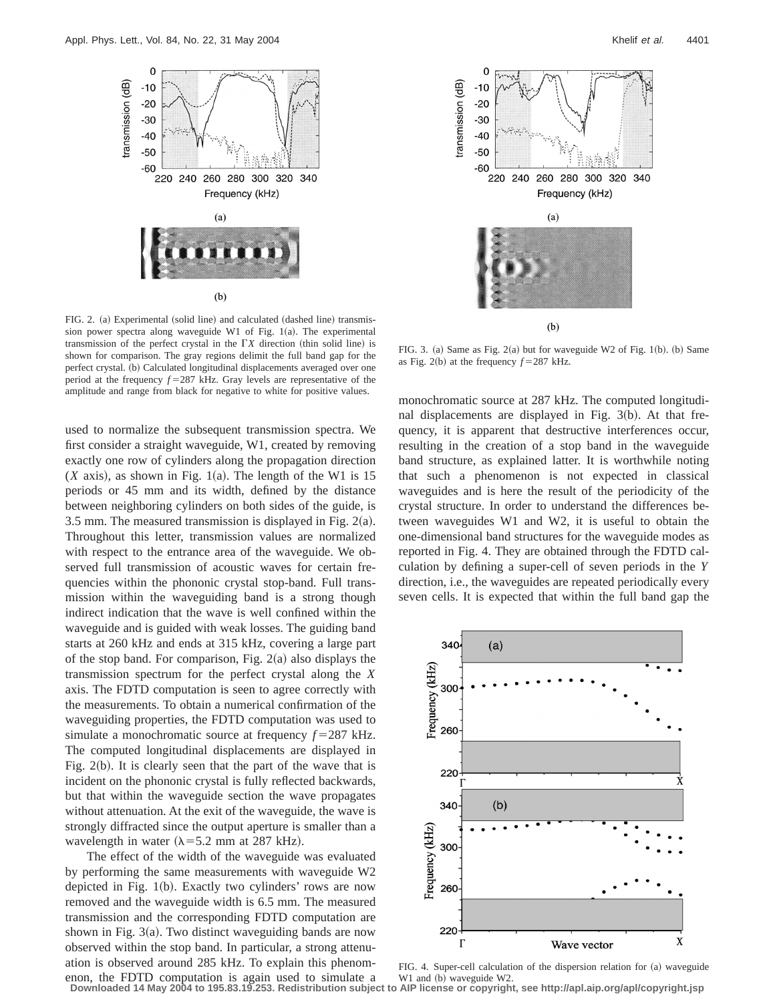

FIG. 2. (a) Experimental (solid line) and calculated (dashed line) transmission power spectra along waveguide W1 of Fig.  $1(a)$ . The experimental transmission of the perfect crystal in the  $\Gamma X$  direction (thin solid line) is shown for comparison. The gray regions delimit the full band gap for the perfect crystal. (b) Calculated longitudinal displacements averaged over one period at the frequency  $f = 287$  kHz. Gray levels are representative of the amplitude and range from black for negative to white for positive values.

used to normalize the subsequent transmission spectra. We first consider a straight waveguide, W1, created by removing exactly one row of cylinders along the propagation direction  $(X$  axis), as shown in Fig. 1(a). The length of the W1 is 15 periods or 45 mm and its width, defined by the distance between neighboring cylinders on both sides of the guide, is 3.5 mm. The measured transmission is displayed in Fig.  $2(a)$ . Throughout this letter, transmission values are normalized with respect to the entrance area of the waveguide. We observed full transmission of acoustic waves for certain frequencies within the phononic crystal stop-band. Full transmission within the waveguiding band is a strong though indirect indication that the wave is well confined within the waveguide and is guided with weak losses. The guiding band starts at 260 kHz and ends at 315 kHz, covering a large part of the stop band. For comparison, Fig.  $2(a)$  also displays the transmission spectrum for the perfect crystal along the *X* axis. The FDTD computation is seen to agree correctly with the measurements. To obtain a numerical confirmation of the waveguiding properties, the FDTD computation was used to simulate a monochromatic source at frequency  $f = 287$  kHz. The computed longitudinal displacements are displayed in Fig.  $2(b)$ . It is clearly seen that the part of the wave that is incident on the phononic crystal is fully reflected backwards, but that within the waveguide section the wave propagates without attenuation. At the exit of the waveguide, the wave is strongly diffracted since the output aperture is smaller than a wavelength in water  $(\lambda = 5.2$  mm at 287 kHz).

The effect of the width of the waveguide was evaluated by performing the same measurements with waveguide W2 depicted in Fig.  $1(b)$ . Exactly two cylinders' rows are now removed and the waveguide width is 6.5 mm. The measured transmission and the corresponding FDTD computation are shown in Fig.  $3(a)$ . Two distinct waveguiding bands are now observed within the stop band. In particular, a strong attenuation is observed around 285 kHz. To explain this phenomenon, the FDTD computation is again used to simulate a **Downloaded 14 May 2004 to 195.83.19.253. Redistribution subject to AIP license or copyright, see http://apl.aip.org/apl/copyright.jsp**



FIG. 3. (a) Same as Fig.  $2(a)$  but for waveguide W2 of Fig. 1(b). (b) Same as Fig. 2(b) at the frequency  $f = 287$  kHz.

monochromatic source at 287 kHz. The computed longitudinal displacements are displayed in Fig.  $3(b)$ . At that frequency, it is apparent that destructive interferences occur, resulting in the creation of a stop band in the waveguide band structure, as explained latter. It is worthwhile noting that such a phenomenon is not expected in classical waveguides and is here the result of the periodicity of the crystal structure. In order to understand the differences between waveguides W1 and W2, it is useful to obtain the one-dimensional band structures for the waveguide modes as reported in Fig. 4. They are obtained through the FDTD calculation by defining a super-cell of seven periods in the *Y* direction, i.e., the waveguides are repeated periodically every seven cells. It is expected that within the full band gap the



FIG. 4. Super-cell calculation of the dispersion relation for (a) waveguide W1 and (b) waveguide W2